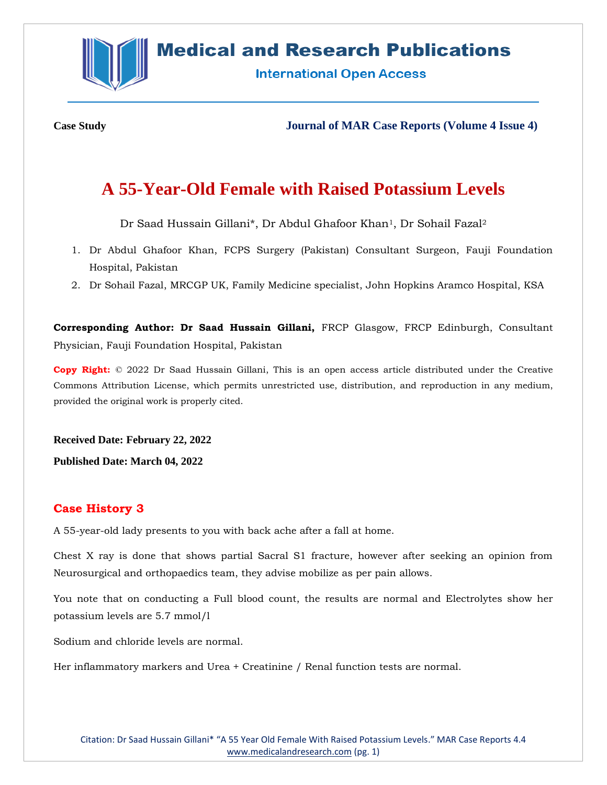**Medical and Research Publications** 

**International Open Access** 

**Case Study Journal of MAR Case Reports (Volume 4 Issue 4)**

# **A 55-Year-Old Female with Raised Potassium Levels**

Dr Saad Hussain Gillani\*, Dr Abdul Ghafoor Khan1, Dr Sohail Fazal<sup>2</sup>

- 1. Dr Abdul Ghafoor Khan, FCPS Surgery (Pakistan) Consultant Surgeon, Fauji Foundation Hospital, Pakistan
- 2. Dr Sohail Fazal, MRCGP UK, Family Medicine specialist, John Hopkins Aramco Hospital, KSA

**Corresponding Author: Dr Saad Hussain Gillani,** FRCP Glasgow, FRCP Edinburgh, Consultant Physician, Fauji Foundation Hospital, Pakistan

**Copy Right:** © 2022 Dr Saad Hussain Gillani, This is an open access article distributed under the Creative Commons Attribution License, which permits unrestricted use, distribution, and reproduction in any medium, provided the original work is properly cited.

**Received Date: February 22, 2022**

**Published Date: March 04, 2022**

# **Case History 3**

A 55-year-old lady presents to you with back ache after a fall at home.

Chest X ray is done that shows partial Sacral S1 fracture, however after seeking an opinion from Neurosurgical and orthopaedics team, they advise mobilize as per pain allows.

You note that on conducting a Full blood count, the results are normal and Electrolytes show her potassium levels are 5.7 mmol/l

Sodium and chloride levels are normal.

Her inflammatory markers and Urea + Creatinine / Renal function tests are normal.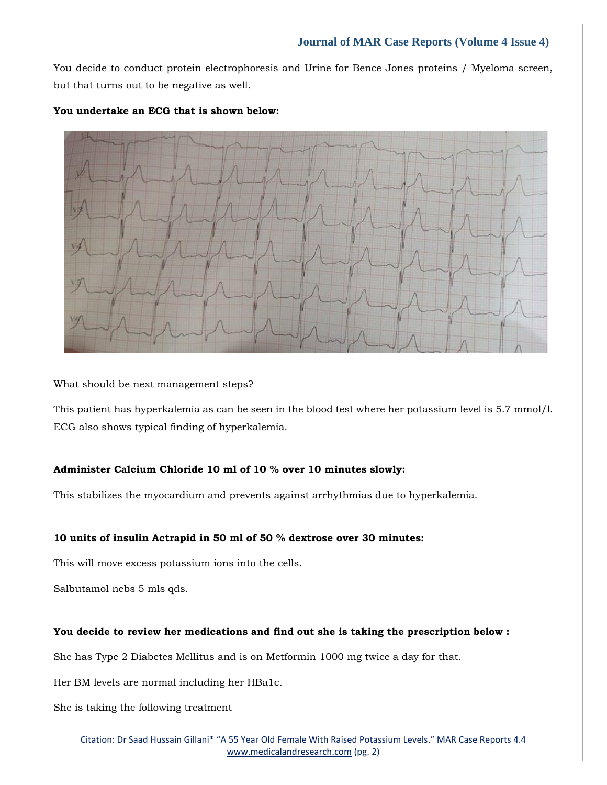# **Journal of MAR Case Reports (Volume 4 Issue 4)**

You decide to conduct protein electrophoresis and Urine for Bence Jones proteins / Myeloma screen, but that turns out to be negative as well.



## **You undertake an ECG that is shown below:**

What should be next management steps?

This patient has hyperkalemia as can be seen in the blood test where her potassium level is 5.7 mmol/l. ECG also shows typical finding of hyperkalemia.

# **Administer Calcium Chloride 10 ml of 10 % over 10 minutes slowly:**

This stabilizes the myocardium and prevents against arrhythmias due to hyperkalemia.

## **10 units of insulin Actrapid in 50 ml of 50 % dextrose over 30 minutes:**

This will move excess potassium ions into the cells.

Salbutamol nebs 5 mls qds.

## **You decide to review her medications and find out she is taking the prescription below :**

She has Type 2 Diabetes Mellitus and is on Metformin 1000 mg twice a day for that.

Her BM levels are normal including her HBa1c.

She is taking the following treatment

Citation: Dr Saad Hussain Gillani\* "A 55 Year Old Female With Raised Potassium Levels." MAR Case Reports 4.4 [www.medicalandresearch.com](http://www.medicalandresearch.com/) (pg. 2)